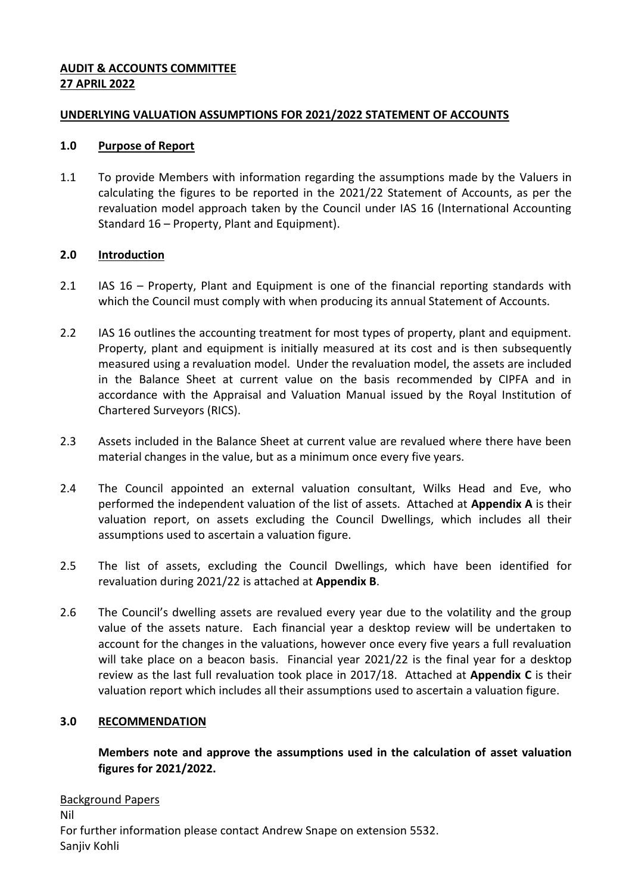### **AUDIT & ACCOUNTS COMMITTEE 27 APRIL 2022**

### **UNDERLYING VALUATION ASSUMPTIONS FOR 2021/2022 STATEMENT OF ACCOUNTS**

#### **1.0 Purpose of Report**

1.1 To provide Members with information regarding the assumptions made by the Valuers in calculating the figures to be reported in the 2021/22 Statement of Accounts, as per the revaluation model approach taken by the Council under IAS 16 (International Accounting Standard 16 – Property, Plant and Equipment).

# **2.0 Introduction**

- 2.1 IAS 16 Property, Plant and Equipment is one of the financial reporting standards with which the Council must comply with when producing its annual Statement of Accounts.
- 2.2 IAS 16 outlines the accounting treatment for most types of property, plant and equipment. Property, plant and equipment is initially measured at its cost and is then subsequently measured using a revaluation model. Under the revaluation model, the assets are included in the Balance Sheet at current value on the basis recommended by CIPFA and in accordance with the Appraisal and Valuation Manual issued by the Royal Institution of Chartered Surveyors (RICS).
- 2.3 Assets included in the Balance Sheet at current value are revalued where there have been material changes in the value, but as a minimum once every five years.
- 2.4 The Council appointed an external valuation consultant, Wilks Head and Eve, who performed the independent valuation of the list of assets. Attached at **Appendix A** is their valuation report, on assets excluding the Council Dwellings, which includes all their assumptions used to ascertain a valuation figure.
- 2.5 The list of assets, excluding the Council Dwellings, which have been identified for revaluation during 2021/22 is attached at **Appendix B**.
- 2.6 The Council's dwelling assets are revalued every year due to the volatility and the group value of the assets nature. Each financial year a desktop review will be undertaken to account for the changes in the valuations, however once every five years a full revaluation will take place on a beacon basis. Financial year 2021/22 is the final year for a desktop review as the last full revaluation took place in 2017/18. Attached at **Appendix C** is their valuation report which includes all their assumptions used to ascertain a valuation figure.

# **3.0 RECOMMENDATION**

**Members note and approve the assumptions used in the calculation of asset valuation figures for 2021/2022.**

Background Papers Nil For further information please contact Andrew Snape on extension 5532. Sanjiv Kohli